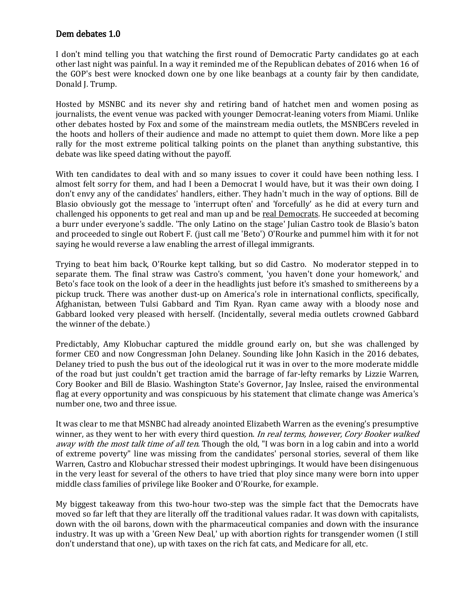## Dem debates 1.0

I don't mind telling you that watching the first round of Democratic Party candidates go at each other last night was painful. In a way it reminded me of the Republican debates of 2016 when 16 of the GOP's best were knocked down one by one like beanbags at a county fair by then candidate, Donald J. Trump.

Hosted by MSNBC and its never shy and retiring band of hatchet men and women posing as journalists, the event venue was packed with younger Democrat-leaning voters from Miami. Unlike other debates hosted by Fox and some of the mainstream media outlets, the MSNBCers reveled in the hoots and hollers of their audience and made no attempt to quiet them down. More like a pep rally for the most extreme political talking points on the planet than anything substantive, this debate was like speed dating without the payoff.

With ten candidates to deal with and so many issues to cover it could have been nothing less. I almost felt sorry for them, and had I been a Democrat I would have, but it was their own doing. I don't envy any of the candidates' handlers, either. They hadn't much in the way of options. Bill de Blasio obviously got the message to 'interrupt often' and 'forcefully' as he did at every turn and challenged his opponents to get real and man up and be real Democrats. He succeeded at becoming a burr under everyone's saddle. 'The only Latino on the stage' Julian Castro took de Blasio's baton and proceeded to single out Robert F. (just call me 'Beto') O'Rourke and pummel him with it for not saying he would reverse a law enabling the arrest of illegal immigrants.

Trying to beat him back, O'Rourke kept talking, but so did Castro. No moderator stepped in to separate them. The final straw was Castro's comment, 'you haven't done your homework,' and Beto's face took on the look of a deer in the headlights just before it's smashed to smithereens by a pickup truck. There was another dust-up on America's role in international conflicts, specifically, Afghanistan, between Tulsi Gabbard and Tim Ryan. Ryan came away with a bloody nose and Gabbard looked very pleased with herself. (Incidentally, several media outlets crowned Gabbard the winner of the debate.)

Predictably, Amy Klobuchar captured the middle ground early on, but she was challenged by former CEO and now Congressman John Delaney. Sounding like John Kasich in the 2016 debates, Delaney tried to push the bus out of the ideological rut it was in over to the more moderate middle of the road but just couldn't get traction amid the barrage of far-lefty remarks by Lizzie Warren, Cory Booker and Bill de Blasio. Washington State's Governor, Jay Inslee, raised the environmental flag at every opportunity and was conspicuous by his statement that climate change was America's number one, two and three issue.

It was clear to me that MSNBC had already anointed Elizabeth Warren as the evening's presumptive winner, as they went to her with every third question. In real terms, however, Cory Booker walked away with the most talk time of all ten. Though the old, "I was born in a log cabin and into a world of extreme poverty" line was missing from the candidates' personal stories, several of them like Warren, Castro and Klobuchar stressed their modest upbringings. It would have been disingenuous in the very least for several of the others to have tried that ploy since many were born into upper middle class families of privilege like Booker and O'Rourke, for example.

My biggest takeaway from this two-hour two-step was the simple fact that the Democrats have moved so far left that they are literally off the traditional values radar. It was down with capitalists, down with the oil barons, down with the pharmaceutical companies and down with the insurance industry. It was up with a 'Green New Deal,' up with abortion rights for transgender women (I still don't understand that one), up with taxes on the rich fat cats, and Medicare for all, etc.